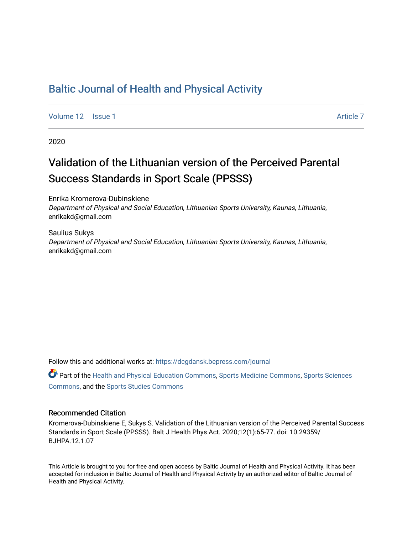### [Baltic Journal of Health and Physical Activity](https://dcgdansk.bepress.com/journal)

[Volume 12](https://dcgdansk.bepress.com/journal/vol12) | [Issue 1](https://dcgdansk.bepress.com/journal/vol12/iss1) Article 7

2020

# Validation of the Lithuanian version of the Perceived Parental Success Standards in Sport Scale (PPSSS)

Enrika Kromerova-Dubinskiene Department of Physical and Social Education, Lithuanian Sports University, Kaunas, Lithuania, enrikakd@gmail.com

Saulius Sukys Department of Physical and Social Education, Lithuanian Sports University, Kaunas, Lithuania, enrikakd@gmail.com

Follow this and additional works at: [https://dcgdansk.bepress.com/journal](https://dcgdansk.bepress.com/journal?utm_source=dcgdansk.bepress.com%2Fjournal%2Fvol12%2Fiss1%2F7&utm_medium=PDF&utm_campaign=PDFCoverPages)

Part of the [Health and Physical Education Commons](http://network.bepress.com/hgg/discipline/1327?utm_source=dcgdansk.bepress.com%2Fjournal%2Fvol12%2Fiss1%2F7&utm_medium=PDF&utm_campaign=PDFCoverPages), [Sports Medicine Commons,](http://network.bepress.com/hgg/discipline/1331?utm_source=dcgdansk.bepress.com%2Fjournal%2Fvol12%2Fiss1%2F7&utm_medium=PDF&utm_campaign=PDFCoverPages) [Sports Sciences](http://network.bepress.com/hgg/discipline/759?utm_source=dcgdansk.bepress.com%2Fjournal%2Fvol12%2Fiss1%2F7&utm_medium=PDF&utm_campaign=PDFCoverPages) [Commons](http://network.bepress.com/hgg/discipline/759?utm_source=dcgdansk.bepress.com%2Fjournal%2Fvol12%2Fiss1%2F7&utm_medium=PDF&utm_campaign=PDFCoverPages), and the [Sports Studies Commons](http://network.bepress.com/hgg/discipline/1198?utm_source=dcgdansk.bepress.com%2Fjournal%2Fvol12%2Fiss1%2F7&utm_medium=PDF&utm_campaign=PDFCoverPages) 

#### Recommended Citation

Kromerova-Dubinskiene E, Sukys S. Validation of the Lithuanian version of the Perceived Parental Success Standards in Sport Scale (PPSSS). Balt J Health Phys Act. 2020;12(1):65-77. doi: 10.29359/ BJHPA.12.1.07

This Article is brought to you for free and open access by Baltic Journal of Health and Physical Activity. It has been accepted for inclusion in Baltic Journal of Health and Physical Activity by an authorized editor of Baltic Journal of Health and Physical Activity.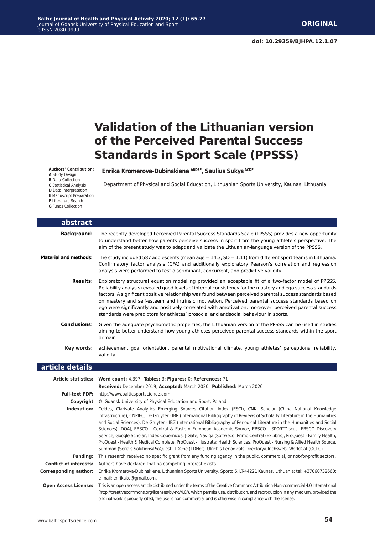## **Validation of the Lithuanian version of the Perceived Parental Success Standards in Sport Scale (PPSSS)**

Department of Physical and Social Education, Lithuanian Sports University, Kaunas, Lithuania

**Enrika Kromerova-Dubinskiene ABDEF, Saulius Sukys ACDF**

**Authors' Contribution:**

**A** Study Design

**B** Data Collection

**C** Statistical Analysis **D** Data Interpretation

**E** Manuscript Preparation

**F** Literature Search

**abstract**

**G** Funds Collection

**article details Article statistics: Word count:** 4,397; **Tables:** 3; **Figures:** 0; **References:** 71 **Received:** December 2019; **Accepted:** March 2020; **Published:** March 2020 **Full-text PDF:** http://www.balticsportscience.com **Copyright ©** Gdansk University of Physical Education and Sport, Poland **Indexation:** Celdes, Clarivate Analytics Emerging Sources Citation Index (ESCI), CNKI Scholar (China National Knowledge Infrastructure), CNPIEC, De Gruyter - IBR (International Bibliography of Reviews of Scholarly Literature in the Humanities and Social Sciences), De Gruyter - IBZ (International Bibliography of Periodical Literature in the Humanities and Social Sciences), DOAJ, EBSCO - Central & Eastern European Academic Source, EBSCO - SPORTDiscus, EBSCO Discovery Service, Google Scholar, Index Copernicus, J-Gate, Naviga (Softweco, Primo Central (ExLibris), ProQuest - Family Health, ProQuest - Health & Medical Complete, ProQuest - Illustrata: Health Sciences, ProQuest - Nursing & Allied Health Source, Summon (Serials Solutions/ProQuest, TDOne (TDNet), Ulrich's Periodicals Directory/ulrichsweb, WorldCat (OCLC) **Funding:** This research received no specific grant from any funding agency in the public, commercial, or not-for-profit sectors. **Conflict of interests:** Authors have declared that no competing interest exists. **Corresponding author:** Enrika Kromerova-Dubinskiene, Lithuanian Sports University, Sporto 6, LT-44221 Kaunas, Lithuania; tel: +37060732660; **Background:** The recently developed Perceived Parental Success Standards Scale (PPSSS) provides a new opportunity to understand better how parents perceive success in sport from the young athlete's perspective. The aim of the present study was to adapt and validate the Lithuanian-language version of the PPSSS. Material and methods: The study included 587 adolescents (mean age = 14.3, SD = 1.11) from different sport teams in Lithuania. Confirmatory factor analysis (CFA) and additionally exploratory Pearson's correlation and regression analysis were performed to test discriminant, concurrent, and predictive validity. **Results:** Exploratory structural equation modelling provided an acceptable fit of a two-factor model of PPSSS. Reliability analysis revealed good levels of internal consistency for the mastery and ego success standards factors. A significant positive relationship was found between perceived parental success standards based on mastery and self-esteem and intrinsic motivation. Perceived parental success standards based on ego were significantly and positively correlated with amotivation; moreover, perceived parental success standards were predictors for athletes' prosocial and antisocial behaviour in sports. **Conclusions:** Given the adequate psychometric properties, the Lithuanian version of the PPSSS can be used in studies aiming to better understand how young athletes perceived parental success standards within the sport domain. **Key words:** achievement goal orientation, parental motivational climate, young athletes' perceptions, reliability, validity.

e-mail: enrikakd@gmail.com.

**Open Access License:** This is an open access article distributed under the terms of the Creative Commons Attribution-Non-commercial 4.0 International (http://creativecommons.org/licenses/by-nc/4.0/), which permits use, distribution, and reproduction in any medium, provided the original work is properly cited, the use is non-commercial and is otherwise in compliance with the license.

www.balticsportscience.com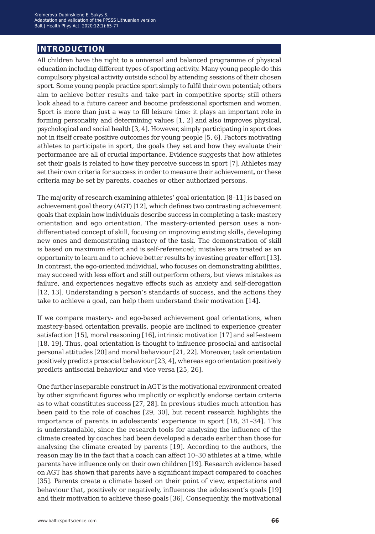### **introduction**

All children have the right to a universal and balanced programme of physical education including different types of sporting activity. Many young people do this compulsory physical activity outside school by attending sessions of their chosen sport. Some young people practice sport simply to fulfil their own potential; others aim to achieve better results and take part in competitive sports; still others look ahead to a future career and become professional sportsmen and women. Sport is more than just a way to fill leisure time: it plays an important role in forming personality and determining values [1, 2] and also improves physical, psychological and social health [3, 4]. However, simply participating in sport does not in itself create positive outcomes for young people [5, 6]. Factors motivating athletes to participate in sport, the goals they set and how they evaluate their performance are all of crucial importance. Evidence suggests that how athletes set their goals is related to how they perceive success in sport [7]. Athletes may set their own criteria for success in order to measure their achievement, or these criteria may be set by parents, coaches or other authorized persons.

The majority of research examining athletes' goal orientation [8–11] is based on achievement goal theory (AGT) [12], which defines two contrasting achievement goals that explain how individuals describe success in completing a task: mastery orientation and ego orientation. The mastery-oriented person uses a nondifferentiated concept of skill, focusing on improving existing skills, developing new ones and demonstrating mastery of the task. The demonstration of skill is based on maximum effort and is self-referenced; mistakes are treated as an opportunity to learn and to achieve better results by investing greater effort [13]. In contrast, the ego-oriented individual, who focuses on demonstrating abilities, may succeed with less effort and still outperform others, but views mistakes as failure, and experiences negative effects such as anxiety and self-derogation [12, 13]. Understanding a person's standards of success, and the actions they take to achieve a goal, can help them understand their motivation [14].

If we compare mastery- and ego-based achievement goal orientations, when mastery-based orientation prevails, people are inclined to experience greater satisfaction [15], moral reasoning [16], intrinsic motivation [17] and self-esteem [18, 19]. Thus, goal orientation is thought to influence prosocial and antisocial personal attitudes [20] and moral behaviour [21, 22]. Moreover, task orientation positively predicts prosocial behaviour [23, 4], whereas ego orientation positively predicts antisocial behaviour and vice versa [25, 26].

One further inseparable construct in AGT is the motivational environment created by other significant figures who implicitly or explicitly endorse certain criteria as to what constitutes success [27, 28]. In previous studies much attention has been paid to the role of coaches [29, 30], but recent research highlights the importance of parents in adolescents' experience in sport [18, 31–34]. This is understandable, since the research tools for analysing the influence of the climate created by coaches had been developed a decade earlier than those for analysing the climate created by parents [19]. According to the authors, the reason may lie in the fact that a coach can affect 10–30 athletes at a time, while parents have influence only on their own children [19]. Research evidence based on AGT has shown that parents have a significant impact compared to coaches [35]. Parents create a climate based on their point of view, expectations and behaviour that, positively or negatively, influences the adolescent's goals [19] and their motivation to achieve these goals [36]. Consequently, the motivational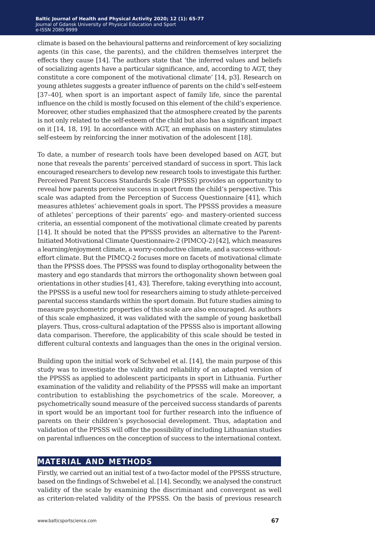climate is based on the behavioural patterns and reinforcement of key socializing agents (in this case, the parents), and the children themselves interpret the effects they cause [14]. The authors state that 'the inferred values and beliefs of socializing agents have a particular significance, and, according to AGT, they constitute a core component of the motivational climate' [14, p3]. Research on young athletes suggests a greater influence of parents on the child's self-esteem [37–40], when sport is an important aspect of family life, since the parental influence on the child is mostly focused on this element of the child's experience. Moreover, other studies emphasized that the atmosphere created by the parents is not only related to the self-esteem of the child but also has a significant impact on it [14, 18, 19]. In accordance with AGT, an emphasis on mastery stimulates self-esteem by reinforcing the inner motivation of the adolescent [18].

To date, a number of research tools have been developed based on AGT, but none that reveals the parents' perceived standard of success in sport. This lack encouraged researchers to develop new research tools to investigate this further. Perceived Parent Success Standards Scale (PPSSS) provides an opportunity to reveal how parents perceive success in sport from the child's perspective. This scale was adapted from the Perception of Success Questionnaire [41], which measures athletes' achievement goals in sport. The PPSSS provides a measure of athletes' perceptions of their parents' ego- and mastery-oriented success criteria, an essential component of the motivational climate created by parents [14]. It should be noted that the PPSSS provides an alternative to the Parent-Initiated Motivational Climate Questionnaire-2 (PIMCQ-2) [42], which measures a learning/enjoyment climate, a worry-conductive climate, and a success-withouteffort climate. But the PIMCQ-2 focuses more on facets of motivational climate than the PPSSS does. The PPSSS was found to display orthogonality between the mastery and ego standards that mirrors the orthogonality shown between goal orientations in other studies [41, 43]. Therefore, taking everything into account, the PPSSS is a useful new tool for researchers aiming to study athlete-perceived parental success standards within the sport domain. But future studies aiming to measure psychometric properties of this scale are also encouraged. As authors of this scale emphasized, it was validated with the sample of young basketball players. Thus, cross-cultural adaptation of the PPSSS also is important allowing data comparison. Therefore, the applicability of this scale should be tested in different cultural contexts and languages than the ones in the original version.

Building upon the initial work of Schwebel et al. [14], the main purpose of this study was to investigate the validity and reliability of an adapted version of the PPSSS as applied to adolescent participants in sport in Lithuania. Further examination of the validity and reliability of the PPSSS will make an important contribution to establishing the psychometrics of the scale. Moreover, a psychometrically sound measure of the perceived success standards of parents in sport would be an important tool for further research into the influence of parents on their children's psychosocial development. Thus, adaptation and validation of the PPSSS will offer the possibility of including Lithuanian studies on parental influences on the conception of success to the international context.

#### **material and methods**

Firstly, we carried out an initial test of a two-factor model of the PPSSS structure, based on the findings of Schwebel et al. [14]. Secondly, we analysed the construct validity of the scale by examining the discriminant and convergent as well as criterion-related validity of the PPSSS. On the basis of previous research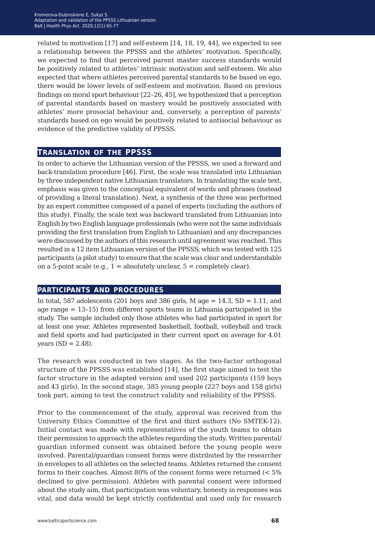related to motivation [17] and self-esteem [14, 18, 19, 44], we expected to see a relationship between the PPSSS and the athletes' motivation. Specifically, we expected to find that perceived parent master success standards would be positively related to athletes' intrinsic motivation and self-esteem. We also expected that where athletes perceived parental standards to be based on ego, there would be lower levels of self-esteem and motivation. Based on previous findings on moral sport behaviour [22–26, 45], we hypothesized that a perception of parental standards based on mastery would be positively associated with athletes' more prosocial behaviour and, conversely, a perception of parents' standards based on ego would be positively related to antisocial behaviour as evidence of the predictive validity of PPSSS.

#### **translation of the ppsss**

In order to achieve the Lithuanian version of the PPSSS, we used a forward and back-translation procedure [46]. First, the scale was translated into Lithuanian by three independent native Lithuanian translators. In translating the scale text, emphasis was given to the conceptual equivalent of words and phrases (instead of providing a literal translation). Next, a synthesis of the three was performed by an expert committee composed of a panel of experts (including the authors of this study). Finally, the scale text was backward translated from Lithuanian into English by two English language professionals (who were not the same individuals providing the first translation from English to Lithuanian) and any discrepancies were discussed by the authors of this research until agreement was reached. This resulted in a 12 item Lithuanian version of the PPSSS, which was tested with 125 participants (a pilot study) to ensure that the scale was clear and understandable on a 5-point scale (e.g.,  $1 =$  absolutely unclear,  $5 =$  completely clear).

#### **participants and procedures**

In total, 587 adolescents (201 boys and 386 girls, M age  $= 14.3$ , SD  $= 1.11$ , and age range = 13–15) from different sports teams in Lithuania participated in the study. The sample included only those athletes who had participated in sport for at least one year. Athletes represented basketball, football, volleyball and track and field sports and had participated in their current sport on average for 4.01 years  $(SD = 2.48)$ .

The research was conducted in two stages. As the two-factor orthogonal structure of the PPSSS was established [14], the first stage aimed to test the factor structure in the adapted version and used 202 participants (159 boys and 43 girls). In the second stage, 385 young people (227 boys and 158 girls) took part, aiming to test the construct validity and reliability of the PPSSS.

Prior to the commencement of the study, approval was received from the University Ethics Committee of the first and third authors (No SMTEK-12). Initial contact was made with representatives of the youth teams to obtain their permission to approach the athletes regarding the study. Written parental/ guardian informed consent was obtained before the young people were involved. Parental/guardian consent forms were distributed by the researcher in envelopes to all athletes on the selected teams. Athletes returned the consent forms to their coaches. Almost 80% of the consent forms were returned (< 5% declined to give permission). Athletes with parental consent were informed about the study aim, that participation was voluntary, honesty in responses was vital, and data would be kept strictly confidential and used only for research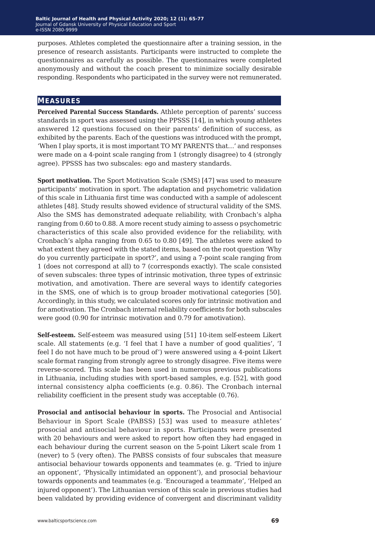purposes. Athletes completed the questionnaire after a training session, in the presence of research assistants. Participants were instructed to complete the questionnaires as carefully as possible. The questionnaires were completed anonymously and without the coach present to minimize socially desirable responding. Respondents who participated in the survey were not remunerated.

#### **measures**

**Perceived Parental Success Standards.** Athlete perception of parents' success standards in sport was assessed using the PPSSS [14], in which young athletes answered 12 questions focused on their parents' definition of success, as exhibited by the parents. Each of the questions was introduced with the prompt, 'When I play sports, it is most important TO MY PARENTS that…' and responses were made on a 4-point scale ranging from 1 (strongly disagree) to 4 (strongly agree). PPSSS has two subscales: ego and mastery standards.

**Sport motivation.** The Sport Motivation Scale (SMS) [47] was used to measure participants' motivation in sport. The adaptation and psychometric validation of this scale in Lithuania first time was conducted with a sample of adolescent athletes [48]. Study results showed evidence of structural validity of the SMS. Also the SMS has demonstrated adequate reliability, with Cronbach's alpha ranging from 0.60 to 0.88. A more recent study aiming to assess o psychometric characteristics of this scale also provided evidence for the reliability, with Cronbach's alpha ranging from 0.65 to 0.80 [49]. The athletes were asked to what extent they agreed with the stated items, based on the root question 'Why do you currently participate in sport?', and using a 7-point scale ranging from 1 (does not correspond at all) to 7 (corresponds exactly). The scale consisted of seven subscales: three types of intrinsic motivation, three types of extrinsic motivation, and amotivation. There are several ways to identify categories in the SMS, one of which is to group broader motivational categories [50]. Accordingly, in this study, we calculated scores only for intrinsic motivation and for amotivation. The Cronbach internal reliability coefficients for both subscales were good (0.90 for intrinsic motivation and 0.79 for amotivation).

**Self-esteem.** Self-esteem was measured using [51] 10-item self-esteem Likert scale. All statements (e.g. 'I feel that I have a number of good qualities', 'I feel I do not have much to be proud of') were answered using a 4-point Likert scale format ranging from strongly agree to strongly disagree. Five items were reverse-scored. This scale has been used in numerous previous publications in Lithuania, including studies with sport-based samples, e.g. [52], with good internal consistency alpha coefficients (e.g. 0.86). The Cronbach internal reliability coefficient in the present study was acceptable (0.76).

**Prosocial and antisocial behaviour in sports.** The Prosocial and Antisocial Behaviour in Sport Scale (PABSS) [53] was used to measure athletes' prosocial and antisocial behaviour in sports. Participants were presented with 20 behaviours and were asked to report how often they had engaged in each behaviour during the current season on the 5-point Likert scale from 1 (never) to 5 (very often). The PABSS consists of four subscales that measure antisocial behaviour towards opponents and teammates (e. g. 'Tried to injure an opponent', 'Physically intimidated an opponent'), and prosocial behaviour towards opponents and teammates (e.g. 'Encouraged a teammate', 'Helped an injured opponent'). The Lithuanian version of this scale in previous studies had been validated by providing evidence of convergent and discriminant validity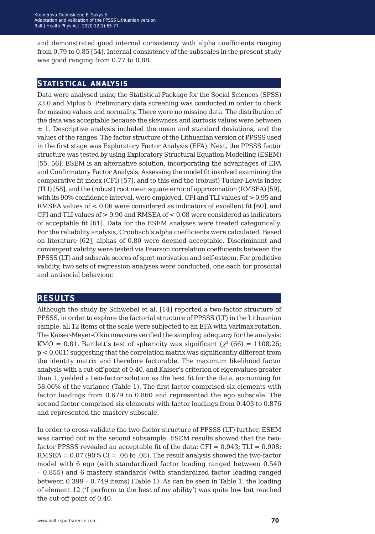and demonstrated good internal consistency with alpha coefficients ranging from 0.79 to 0.85 [54]. Internal consistency of the subscales in the present study was good ranging from 0.77 to 0.88.

#### **statistical analysis**

Data were analysed using the Statistical Package for the Social Sciences (SPSS) 23.0 and Mplus 6. Preliminary data screening was conducted in order to check for missing values and normality. There were no missing data. The distribution of the data was acceptable because the skewness and kurtosis values were between  $\pm$  1. Descriptive analysis included the mean and standard deviations, and the values of the ranges. The factor structure of the Lithuanian version of PPSSS used in the first stage was Exploratory Factor Analysis (EFA). Next, the PPSSS factor structure was tested by using Exploratory Structural Equation Modelling (ESEM) [55, 56]. ESEM is an alternative solution, incorporating the advantages of EFA and Confirmatory Factor Analysis. Assessing the model fit involved examining the comparative fit index (CFI) [57], and to this end the (robust) Tucker-Lewis index (TLI) [58], and the (robust) root mean square error of approximation (RMSEA) [59], with its 90% confidence interval, were employed. CFI and TLI values of > 0.95 and RMSEA values of < 0.06 were considered as indicators of excellent fit [60], and CFI and TLI values of > 0.90 and RMSEA of < 0.08 were considered as indicators of acceptable fit [61]. Data for the ESEM analyses were treated categorically. For the reliability analysis, Cronbach's alpha coefficients were calculated. Based on literature [62], alphas of 0.80 were deemed acceptable. Discriminant and convergent validity were tested via Pearson correlation coefficients between the PPSSS (LT) and subscale scores of sport motivation and self-esteem. For predictive validity, two sets of regression analyses were conducted, one each for prosocial and antisocial behaviour.

#### **results**

Although the study by Schwebel et al. [14] reported a two-factor structure of PPSSS, in order to explore the factorial structure of PPSSS (LT) in the Lithuanian sample, all 12 items of the scale were subjected to an EFA with Varimax rotation. The Kaiser-Meyer-Olkin measure verified the sampling adequacy for the analysis: KMO = 0.81. Bartlett's test of sphericity was significant  $(\chi^2 (66) = 1108.26)$ ; p < 0.001) suggesting that the correlation matrix was significantly different from the identity matrix and therefore factorable. The maximum likelihood factor analysis with a cut-off point of 0.40, and Kaiser's criterion of eigenvalues greater than 1, yielded a two-factor solution as the best fit for the data, accounting for 58.06% of the variance (Table 1). The first factor comprised six elements with factor loadings from 0.679 to 0.860 and represented the ego subscale. The second factor comprised six elements with factor loadings from 0.403 to 0.876 and represented the mastery subscale.

In order to cross-validate the two-factor structure of PPSSS (LT) further, ESEM was carried out in the second subsample. ESEM results showed that the twofactor PPSSS revealed an acceptable fit of the data:  $CFI = 0.943$ ;  $TLI = 0.908$ ;  $RMSEA = 0.07$  (90% CI = .06 to .08). The result analysis showed the two-factor model with 6 ego (with standardized factor loading ranged between 0.540 – 0.855) and 6 mastery standards (with standardized factor loading ranged between 0.399 – 0.749 items) (Table 1). As can be seen in Table 1, the loading of element 12 ('I perform to the best of my ability') was quite low but reached the cut-off point of 0.40.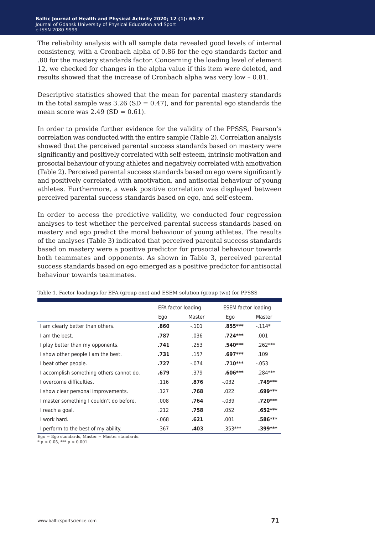The reliability analysis with all sample data revealed good levels of internal consistency, with a Cronbach alpha of 0.86 for the ego standards factor and .80 for the mastery standards factor. Concerning the loading level of element 12, we checked for changes in the alpha value if this item were deleted, and results showed that the increase of Cronbach alpha was very low – 0.81.

Descriptive statistics showed that the mean for parental mastery standards in the total sample was  $3.26$  (SD = 0.47), and for parental ego standards the mean score was  $2.49$  (SD = 0.61).

In order to provide further evidence for the validity of the PPSSS, Pearson's correlation was conducted with the entire sample (Table 2). Correlation analysis showed that the perceived parental success standards based on mastery were significantly and positively correlated with self-esteem, intrinsic motivation and prosocial behaviour of young athletes and negatively correlated with amotivation (Table 2). Perceived parental success standards based on ego were significantly and positively correlated with amotivation, and antisocial behaviour of young athletes. Furthermore, a weak positive correlation was displayed between perceived parental success standards based on ego, and self-esteem.

In order to access the predictive validity, we conducted four regression analyses to test whether the perceived parental success standards based on mastery and ego predict the moral behaviour of young athletes. The results of the analyses (Table 3) indicated that perceived parental success standards based on mastery were a positive predictor for prosocial behaviour towards both teammates and opponents. As shown in Table 3, perceived parental success standards based on ego emerged as a positive predictor for antisocial behaviour towards teammates.

|                                          | EFA factor loading |         | <b>ESEM</b> factor loading |           |
|------------------------------------------|--------------------|---------|----------------------------|-----------|
|                                          | Ego                | Master  | Ego                        | Master    |
| I am clearly better than others.         | .860               | $-.101$ | $.855***$                  | $-.114*$  |
| I am the best.                           | .787               | .036    | $.724***$                  | .001      |
| I play better than my opponents.         | .741               | .253    | $.540***$                  | $.262***$ |
| I show other people I am the best.       | .731               | .157    | $.697***$                  | .109      |
| I beat other people.                     | .727               | $-.074$ | $.710***$                  | $-.053$   |
| I accomplish something others cannot do. | .679               | .379    | $.606***$                  | $.284***$ |
| I overcome difficulties.                 | .116               | .876    | $-.032$                    | .749***   |
| I show clear personal improvements.      | .127               | .768    | .022                       | .699***   |
| I master something I couldn't do before. | .008               | .764    | $-.039$                    | .720***   |
| I reach a goal.                          | .212               | .758    | .052                       | $.652***$ |
| I work hard.                             | $-068$             | .621    | .001                       | $.586***$ |
| I perform to the best of my ability.     | .367               | .403    | $.353***$                  | .399***   |

Table 1. Factor loadings for EFA (group one) and ESEM solution (group two) for PPSSS

Ego = Ego standards, Master = Master standards.

 $* p < 0.05$ ,  $*** p < 0.001$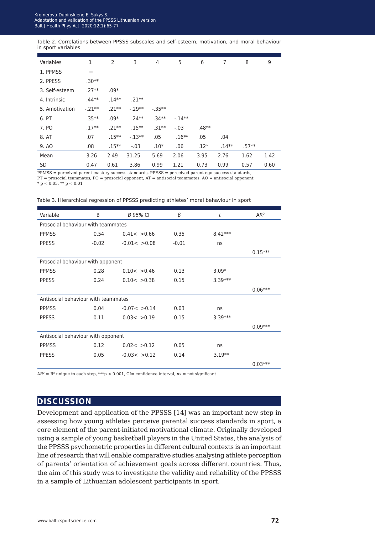Table 2. Correlations between PPSSS subscales and self-esteem, motivation, and moral behaviour in sport variables

| Variables      | 1        | $\overline{2}$ | 3       | 4         | 5       | 6       | 7       | 8       | 9    |
|----------------|----------|----------------|---------|-----------|---------|---------|---------|---------|------|
| 1. PPMSS       |          |                |         |           |         |         |         |         |      |
| 2. PPESS       | $.30**$  |                |         |           |         |         |         |         |      |
| 3. Self-esteem | $.27**$  | $.09*$         |         |           |         |         |         |         |      |
| 4. Intrinsic   | $.44**$  | $.14**$        | $.21**$ |           |         |         |         |         |      |
| 5. Amotivation | $-.21**$ | $.21**$        | $-29**$ | $-.35***$ |         |         |         |         |      |
| 6. PT          | $.35***$ | $.09*$         | $.24**$ | $.34**$   | $-14**$ |         |         |         |      |
| 7. PO          | $.17**$  | $.21**$        | $.15**$ | $.31**$   | $-.03$  | $.48**$ |         |         |      |
| 8. AT          | .07      | $.15***$       | $-13**$ | .05       | $.16**$ | .05     | .04     |         |      |
| 9. AO          | .08      | $.15***$       | $-.03$  | $.10*$    | .06     | $.12*$  | $.14**$ | $.57**$ |      |
| Mean           | 3.26     | 2.49           | 31.25   | 5.69      | 2.06    | 3.95    | 2.76    | 1.62    | 1.42 |
| <b>SD</b>      | 0.47     | 0.61           | 3.86    | 0.99      | 1.21    | 0.73    | 0.99    | 0.57    | 0.60 |

PPMSS = perceived parent mastery success standards, PPESS = perceived parent ego success standards, PT = prosocial teammates, PO = prosocial opponent, AT = antisocial teammates, AO = antisocial opponent

 $* p < 0.05$ ,  $** p < 0.01$ 

| Table 3. Hierarchical regression of PPSSS predicting athletes' moral behaviour in sport |  |
|-----------------------------------------------------------------------------------------|--|
|-----------------------------------------------------------------------------------------|--|

| Variable                            | B       | <b>B</b> 95% CI | β       | t         | AR <sup>2</sup> |  |
|-------------------------------------|---------|-----------------|---------|-----------|-----------------|--|
| Prosocial behaviour with teammates  |         |                 |         |           |                 |  |
| <b>PPMSS</b>                        | 0.54    | 0.41 < 0.66     | 0.35    | $8.42***$ |                 |  |
| <b>PPESS</b>                        | $-0.02$ | $-0.01 < 0.08$  | $-0.01$ | ns        |                 |  |
|                                     |         |                 |         |           | $0.15***$       |  |
| Prosocial behaviour with opponent   |         |                 |         |           |                 |  |
| <b>PPMSS</b>                        | 0.28    | 0.10 < 0.46     | 0.13    | $3.09*$   |                 |  |
| <b>PPESS</b>                        | 0.24    | 0.10 < 0.38     | 0.15    | $3.39***$ |                 |  |
|                                     |         |                 |         |           | $0.06***$       |  |
| Antisocial behaviour with teammates |         |                 |         |           |                 |  |
| <b>PPMSS</b>                        | 0.04    | $-0.07 < 0.14$  | 0.03    | ns        |                 |  |
| <b>PPESS</b>                        | 0.11    | 0.03 < 0.19     | 0.15    | $3.39***$ |                 |  |
|                                     |         |                 |         |           | $0.09***$       |  |
| Antisocial behaviour with opponent  |         |                 |         |           |                 |  |
| <b>PPMSS</b>                        | 0.12    | 0.02 < 0.12     | 0.05    | ns        |                 |  |
| <b>PPESS</b>                        | 0.05    | $-0.03 < 0.12$  | 0.14    | $3.19**$  |                 |  |
|                                     |         |                 |         |           | $0.03***$       |  |

 $AR^2 = R^2$  unique to each step, \*\*\*p < 0.001, CI= confidence interval,  $ns = not$  significant

#### **discussion**

Development and application of the PPSSS [14] was an important new step in assessing how young athletes perceive parental success standards in sport, a core element of the parent-initiated motivational climate. Originally developed using a sample of young basketball players in the United States, the analysis of the PPSSS psychometric properties in different cultural contexts is an important line of research that will enable comparative studies analysing athlete perception of parents' orientation of achievement goals across different countries. Thus, the aim of this study was to investigate the validity and reliability of the PPSSS in a sample of Lithuanian adolescent participants in sport.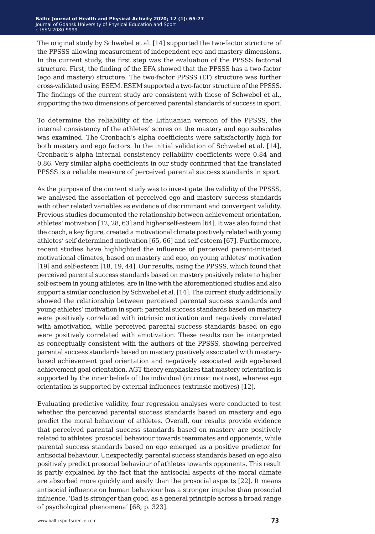The original study by Schwebel et al. [14] supported the two-factor structure of the PPSSS allowing measurement of independent ego and mastery dimensions. In the current study, the first step was the evaluation of the PPSSS factorial structure. First, the finding of the EFA showed that the PPSSS has a two-factor (ego and mastery) structure. The two-factor PPSSS (LT) structure was further cross-validated using ESEM. ESEM supported a two-factor structure of the PPSSS. The findings of the current study are consistent with those of Schwebel et al., supporting the two dimensions of perceived parental standards of success in sport.

To determine the reliability of the Lithuanian version of the PPSSS, the internal consistency of the athletes' scores on the mastery and ego subscales was examined. The Cronbach's alpha coefficients were satisfactorily high for both mastery and ego factors. In the initial validation of Schwebel et al. [14], Cronbach's alpha internal consistency reliability coefficients were 0.84 and 0.86. Very similar alpha coefficients in our study confirmed that the translated PPSSS is a reliable measure of perceived parental success standards in sport.

As the purpose of the current study was to investigate the validity of the PPSSS, we analysed the association of perceived ego and mastery success standards with other related variables as evidence of discriminant and convergent validity. Previous studies documented the relationship between achievement orientation, athletes' motivation [12, 28, 63] and higher self-esteem [64]. It was also found that the coach, a key figure, created a motivational climate positively related with young athletes' self-determined motivation [65, 66] and self-esteem [67]. Furthermore, recent studies have highlighted the influence of perceived parent-initiated motivational climates, based on mastery and ego, on young athletes' motivation [19] and self-esteem [18, 19, 44]. Our results, using the PPSSS, which found that perceived parental success standards based on mastery positively relate to higher self-esteem in young athletes, are in line with the aforementioned studies and also support a similar conclusion by Schwebel et al. [14]. The current study additionally showed the relationship between perceived parental success standards and young athletes' motivation in sport: parental success standards based on mastery were positively correlated with intrinsic motivation and negatively correlated with amotivation, while perceived parental success standards based on ego were positively correlated with amotivation. These results can be interpreted as conceptually consistent with the authors of the PPSSS, showing perceived parental success standards based on mastery positively associated with masterybased achievement goal orientation and negatively associated with ego-based achievement goal orientation. AGT theory emphasizes that mastery orientation is supported by the inner beliefs of the individual (intrinsic motives), whereas ego orientation is supported by external influences (extrinsic motives) [12].

Evaluating predictive validity, four regression analyses were conducted to test whether the perceived parental success standards based on mastery and ego predict the moral behaviour of athletes. Overall, our results provide evidence that perceived parental success standards based on mastery are positively related to athletes' prosocial behaviour towards teammates and opponents, while parental success standards based on ego emerged as a positive predictor for antisocial behaviour. Unexpectedly, parental success standards based on ego also positively predict prosocial behaviour of athletes towards opponents. This result is partly explained by the fact that the antisocial aspects of the moral climate are absorbed more quickly and easily than the prosocial aspects [22]. It means antisocial influence on human behaviour has a stronger impulse than prosocial influence. 'Bad is stronger than good, as a general principle across a broad range of psychological phenomena' [68, p. 323].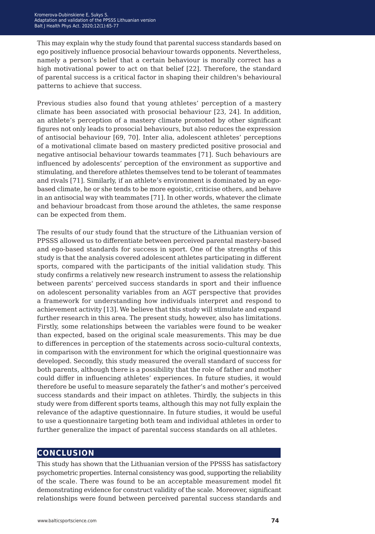This may explain why the study found that parental success standards based on ego positively influence prosocial behaviour towards opponents. Nevertheless, namely a person's belief that a certain behaviour is morally correct has a high motivational power to act on that belief [22]. Therefore, the standard of parental success is a critical factor in shaping their children's behavioural patterns to achieve that success.

Previous studies also found that young athletes' perception of a mastery climate has been associated with prosocial behaviour [23, 24]. In addition, an athlete's perception of a mastery climate promoted by other significant figures not only leads to prosocial behaviours, but also reduces the expression of antisocial behaviour [69, 70]. Inter alia, adolescent athletes' perceptions of a motivational climate based on mastery predicted positive prosocial and negative antisocial behaviour towards teammates [71]. Such behaviours are influenced by adolescents' perception of the environment as supportive and stimulating, and therefore athletes themselves tend to be tolerant of teammates and rivals [71]. Similarly, if an athlete's environment is dominated by an egobased climate, he or she tends to be more egoistic, criticise others, and behave in an antisocial way with teammates [71]. In other words, whatever the climate and behaviour broadcast from those around the athletes, the same response can be expected from them.

The results of our study found that the structure of the Lithuanian version of PPSSS allowed us to differentiate between perceived parental mastery-based and ego-based standards for success in sport. One of the strengths of this study is that the analysis covered adolescent athletes participating in different sports, compared with the participants of the initial validation study. This study confirms a relatively new research instrument to assess the relationship between parents' perceived success standards in sport and their influence on adolescent personality variables from an AGT perspective that provides a framework for understanding how individuals interpret and respond to achievement activity [13]. We believe that this study will stimulate and expand further research in this area. The present study, however, also has limitations. Firstly, some relationships between the variables were found to be weaker than expected, based on the original scale measurements. This may be due to differences in perception of the statements across socio-cultural contexts, in comparison with the environment for which the original questionnaire was developed. Secondly, this study measured the overall standard of success for both parents, although there is a possibility that the role of father and mother could differ in influencing athletes' experiences. In future studies, it would therefore be useful to measure separately the father's and mother's perceived success standards and their impact on athletes. Thirdly, the subjects in this study were from different sports teams, although this may not fully explain the relevance of the adaptive questionnaire. In future studies, it would be useful to use a questionnaire targeting both team and individual athletes in order to further generalize the impact of parental success standards on all athletes.

#### **conclusion**

This study has shown that the Lithuanian version of the PPSSS has satisfactory psychometric properties. Internal consistency was good, supporting the reliability of the scale. There was found to be an acceptable measurement model fit demonstrating evidence for construct validity of the scale. Moreover, significant relationships were found between perceived parental success standards and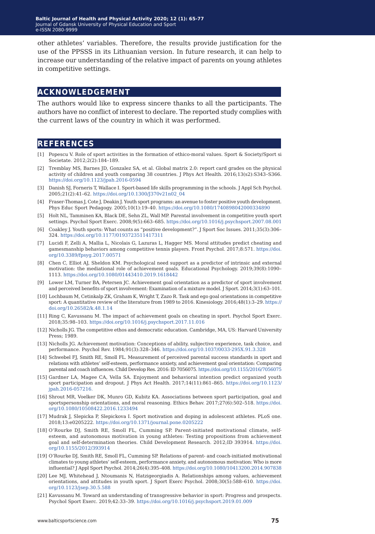other athletes' variables. Therefore, the results provide justification for the use of the PPSSS in its Lithuanian version. In future research, it can help to increase our understanding of the relative impact of parents on young athletes in competitive settings.

#### **acknowledgement**

The authors would like to express sincere thanks to all the participants. The authors have no conflict of interest to declare. The reported study complies with the current laws of the country in which it was performed.

#### **references**

- [1] Popescu V. Role of sport activities in the formation of ethico-moral values. Sport & Society/Sport si Societate. 2012;2(2):184–189.
- [2] Tremblay MS, Barnes JD, Gonzalez SA, et al. Global matrix 2.0: report card grades on the physical activity of children and youth comparing 38 countries. J Phys Act Health. 2016;13(s2):S343–S366. <https://doi.org/10.1123/jpah.2016-0594>
- [3] Danish SJ, Forneris T, Wallace I. Sport-based life skills programming in the schools. J Appl Sch Psychol. 2005;21(2):41–62. [https://doi.org/10.1300/J370v21n02\\_04](https://doi.org/10.1300/J370v21n02_04)
- [4] Fraser-Thomas J, Cote J, Deakin J. Youth sport programs: an avenue to foster positive youth development. Phys Educ Sport Pedagogy. 2005;10(1):19–40. <https://doi.org/10.1080/1740898042000334890>
- [5] Holt NL, Tamminen KA, Black DE, Sehn ZL, Wall MP. Parental involvement in competitive youth sport settings. Psychol Sport Exerc. 2008;9(5):663–685.<https://doi.org/10.1016/j.psychsport.2007.08.001>
- [6] Coakley J. Youth sports: What counts as "positive development?". J Sport Soc Issues. 2011;35(3):306– 324. <https://doi.org/10.1177/0193723511417311>
- [7] Lucidi F, Zelli A, Mallia L, Nicolais G, Lazuras L, Hagger MS. Moral attitudes predict cheating and gamesmanship behaviors among competitive tennis players. Front Psychol. 2017;8:571. [https://doi.](https://doi.org/10.3389/fpsyg.2017.00571) [org/10.3389/fpsyg.2017.00571](https://doi.org/10.3389/fpsyg.2017.00571)
- [8] Chen C, Elliot AJ, Sheldon KM. Psychological need support as a predictor of intrinsic and external motivation: the mediational role of achievement goals. Educational Psychology. 2019;39(8):1090– 1113. <https://doi.org/10.1080/01443410.2019.1618442>
- [9] Lower LM, Turner BA, Petersen JC. Achievement goal orientation as a predictor of sport involvement and perceived benefits of sport involvement: Examination of a mixture model. J Sport. 2014;3(1):63–101.
- [10] Lochbaum M, Cetinkalp ZK, Graham K, Wright T, Zazo R. Task and ego goal orientations in competitive sport: A quantitative review of the literature from 1989 to 2016. Kinesiology. 2016;48(1):3–29. [https://](https://doi.org/10.26582/k.48.1.14) [doi.org/10.26582/k.48.1.14](https://doi.org/10.26582/k.48.1.14)
- [11] Ring C, Kavussanu M. The impact of achievement goals on cheating in sport. Psychol Sport Exerc. 2018;35:98–103.<https://doi.org/10.1016/j.psychsport.2017.11.016>
- [12] Nicholls JG. The competitive ethos and democratic education. Cambridge, MA, US: Harvard University Press; 1989.
- [13] Nicholls JG. Achievement motivation: Conceptions of ability, subjective experience, task choice, and performance. Psychol Rev. 1984;91(3):328–346. <https://doi.org/10.1037/0033-295X.91.3.328>
- [14] Schwebel FJ, Smith RE, Smoll FL. Measurement of perceived parental success standards in sport and relations with athletes' self-esteem, performance anxiety, and achievement goal orientation: Comparing parental and coach influences. Child Develop Res. 2016: ID 7056075.<https://doi.org/10.1155/2016/7056075>
- [15] Gardner LA, Magee CA, Vella SA. Enjoyment and behavioral intention predict organized youth sport participation and dropout. J Phys Act Health. 2017;14(11):861–865. [https://doi.org/10.1123/](https://doi.org/10.1123/jpah.2016-0572) [jpah.2016-057216.](https://doi.org/10.1123/jpah.2016-0572)
- [16] Shrout MR, Voelker DK, Munro GD, Kubitz KA. Associations between sport participation, goal and sportspersonship orientations, and moral reasoning. Ethics Behav. 2017;27(6):502–518. [https://doi.](https://doi.org/10.1080/10508422.2016.1233494) [org/10.1080/10508422.2016.1233494](https://doi.org/10.1080/10508422.2016.1233494)
- [17] Mudrak J, Slepicka P, Slepickova I. Sport motivation and doping in adolescent athletes. PLoS one. 2018;13:e0205222. <https://doi.org/10.1371/journal.pone.0205222>
- [18] O'Rourke DJ, Smith RE, Smoll FL, Cumming SP. Parent-initiated motivational climate, selfesteem, and autonomous motivation in young athletes: Testing propositions from achievement goal and self-determination theories. Child Development Research. 2012;ID 393914. [https://doi.](https://doi.org/10.1155/2012/393914) [org/10.1155/2012/393914](https://doi.org/10.1155/2012/393914)
- [19] O'Rourke DJ, Smith RE, Smoll FL, Cumming SP. Relations of parent- and coach-initiated motivational climates to young athletes' self-esteem, performance anxiety, and autonomous motivation: Who is more influential? J Appl Sport Psychol. 2014;26(4):395–408.<https://doi.org/10.1080/10413200.2014.907838>
- [20] Lee MJ, Whitehead J, Ntoumanis N, Hatzigeorgiadis A. Relationships among values, achievement orientations, and attitudes in youth sport. J Sport Exerc Psychol. 2008;30(5):588–610. [https://doi.](https://doi.org/10.1123/jsep.30.5.588) [org/10.1123/jsep.30.5.588](https://doi.org/10.1123/jsep.30.5.588)
- [21] Kavussanu M. Toward an understanding of transgressive behavior in sport: Progress and prospects. Psychol Sport Exerc. 2019;42:33–39. <https://doi.org/10.1016/j.psychsport.2019.01.009>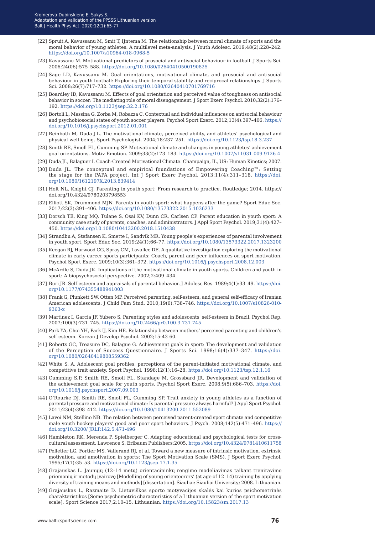- [22] Spruit A, Kavussanu M, Smit T, IJntema M. The relationship between moral climate of sports and the moral behavior of young athletes: A multilevel meta-analysis. J Youth Adolesc. 2019;48(2):228–242. <https://doi.org/10.1007/s10964-018-0968-5>
- [23] Kavussanu M. Motivational predictors of prosocial and antisocial behaviour in football. J Sports Sci. 2006;24(06):575–588.<https://doi.org/10.1080/02640410500190825>
- [24] Sage LD, Kavussanu M. Goal orientations, motivational climate, and prosocial and antisocial behaviour in youth football: Exploring their temporal stability and reciprocal relationships. J Sports Sci. 2008;26(7):717–732.<https://doi.org/10.1080/02640410701769716>
- [25] Boardley ID, Kavussanu M. Effects of goal orientation and perceived value of toughness on antisocial behavior in soccer: The mediating role of moral disengagement. J Sport Exerc Psychol. 2010;32(2):176– 192. <https://doi.org/10.1123/jsep.32.2.176>
- [26] Bortoli L, Messina G, Zorba M, Robazza C. Contextual and individual influences on antisocial behaviour and psychobiosocial states of youth soccer players. Psychol Sport Exerc. 2012;13(4):397–406. [https://](https://doi.org/10.1016/j.psychsport.2012.01.001) [doi.org/10.1016/j.psychsport.2012.01.001](https://doi.org/10.1016/j.psychsport.2012.01.001)
- [27] Reinboth M, Duda J.L. The motivational climate, perceived ability, and athletes' psychological and physical well-being. Sport Psychologist. 2004;18:237–251.<https://doi.org/10.1123/tsp.18.3.237>
- [28] Smith RE, Smoll FL, Cumming SP. Motivational climate and changes in young athletes' achievement goal orientations. Motiv Emotion. 2009;33(2):173–183.<https://doi.org/10.1007/s11031-009-9126-4>
- [29] Duda JL, Balaguer I. Coach-Created Motivational Climate. Champaign, IL, US: Human Kinetics; 2007.
- [30] Duda JL. The conceptual and empirical foundations of Empowering Coaching™: Setting the stage for the PAPA project. Int J Sport Exerc Psychol. 2013;11(4):311–318. [https://doi.](https://doi.org/10.1080/1612197X.2013.839414) [org/10.1080/1612197X.2013.839414](https://doi.org/10.1080/1612197X.2013.839414)
- [31] Holt NL, Knight CJ. Parenting in youth sport: From research to practice. Routledge; 2014. https:// doi.org/10.4324/9780203798553
- [32] Elliott SK, Drummond MJN. Parents in youth sport: what happens after the game? Sport Educ Soc. 2017;22(3):391–406. <https://doi.org/10.1080/13573322.2015.1036233>
- [33] Dorsch TE, King MQ, Tulane S, Osai KV, Dunn CR, Carlsen CP. Parent education in youth sport: A community case study of parents, coaches, and administrators. J Appl Sport Psychol. 2019;31(4):427– 450. <https://doi.org/10.1080/10413200.2018.1510438>
- [34] Strandbu A, Stefansen K, Smette I, Sandvik MR. Young people's experiences of parental involvement in youth sport. Sport Educ Soc. 2019;24(1):66–77. <https://doi.org/10.1080/13573322.2017.1323200>
- [35] Keegan RJ, Harwood CG, Spray CM, Lavallee DE. A qualitative investigation exploring the motivational climate in early career sports participants: Coach, parent and peer influences on sport motivation. Psychol Sport Exerc. 2009;10(3):361–372. <https://doi.org/10.1016/j.psychsport.2008.12.003>
- [36] McArdle S, Duda JK. Implications of the motivational climate in youth sports. Children and youth in sport: A biopsychosocial perspective. 2002;2:409–434.
- [37] Buri JR. Self-esteem and appraisals of parental behavior. J Adolesc Res. 1989;4(1):33–49. [https://doi.](https://doi.org/10.1177/074355488941003) [org/10.1177/074355488941003](https://doi.org/10.1177/074355488941003)
- [38] Frank G, Plunkett SW, Otten MP. Perceived parenting, self-esteem, and general self-efficacy of Iranian American adolescents. J Child Fam Stud. 2010;19(6):738–746. [https://doi.org/10.1007/s10826-010-](https://doi.org/10.1007/s10826-010-9363-x) [9363-x](https://doi.org/10.1007/s10826-010-9363-x)
- [39] Martinez I, Garcia JF, Yubero S. Parenting styles and adolescents' self-esteem in Brazil. Psychol Rep. 2007;100(3):731–745.<https://doi.org/10.2466/pr0.100.3.731-745>
- [40] Park YA, Choi YH, Park IJ, Kim HE. Relationship between mothers' perceived parenting and children's self-esteem. Korean J Develop Psychol. 2002;15:43-60.
- [41] Roberts GC, Treasure DC, Balague G. Achievement goals in sport: The development and validation of the Perception of Success Questionnaire. J Sports Sci. 1998;16(4):337–347. [https://doi.](https://doi.org/10.1080/02640419808559362) [org/10.1080/02640419808559362](https://doi.org/10.1080/02640419808559362)
- [42] White S. A. Adolescent goal profiles, perceptions of the parent-initiated motivational climate, and competitive trait anxiety. Sport Psychol. 1998;12(1):16–28. <https://doi.org/10.1123/tsp.12.1.16>
- [43] Cumming S.P, Smith RE, Smoll FL, Standage M, Grossbard JR. Development and validation of the achievement goal scale for youth sports. Psychol Sport Exerc. 2008;9(5):686–703. [https://doi.](https://doi.org/10.1016/j.psychsport.2007.09.003) [org/10.1016/j.psychsport.2007.09.003](https://doi.org/10.1016/j.psychsport.2007.09.003)
- [44] O'Rourke DJ, Smith RE, Smoll FL, Cumming SP. Trait anxiety in young athletes as a function of parental pressure and motivational climate: Is parental pressure always harmful? J Appl Sport Psychol. 2011;23(4):398–412. <https://doi.org/10.1080/10413200.2011.552089>
- [45] Lavoi NM, Stellino NB. The relation between perceived parent-created sport climate and competitive male youth hockey players' good and poor sport behaviors. J Psych. 2008;142(5):471–496. [https://](https://doi.org/10.3200/JRLP.142.5.471-496) [doi.org/10.3200/ JRLP.142.5.471-496](https://doi.org/10.3200/JRLP.142.5.471-496)
- [46] Hambleton RK, Merenda P, Spielberger C. Adapting educational and psychological tests for crosscultural assessment. Lawrence S. Erlbaum Publishers;2005. [https://doi.org/10.4324/9781410611758](v)
- [47] Pelletier LG, Fortier MS, Vallerand RJ, et al. Toward a new measure of intrinsic motivation, extrinsic motivation, and amotivation in sports: The Sport Motivation Scale (SMS). J Sport Exerc Psychol. 1995;17(1):35–53. <https://doi.org/10.1123/jsep.17.1.35>
- [48] Grajauskas L. Jaunųjų (12–14 metų) orientacininkų rengimo modeliavimas taikant treniravimo priemonių ir metodų įvairovę [Modelling of young orienteerers' (at age of 12–14) training by applying diversity of training means and methods] [dissertation]. Šiauliai: Šiauliai University; 2008. Lithuanian.
- [49] Grajauskas L, Razmaite D. Lietuviškos sporto motyvacijos skalės kai kurios psichometrinės charakteristikos [Some psychometric characteristics of a Lithuanian version of the sport motivation scale]. Sport Science 2017;2:10–15. Lithuanian.<https://doi.org/10.15823/sm.2017.13>